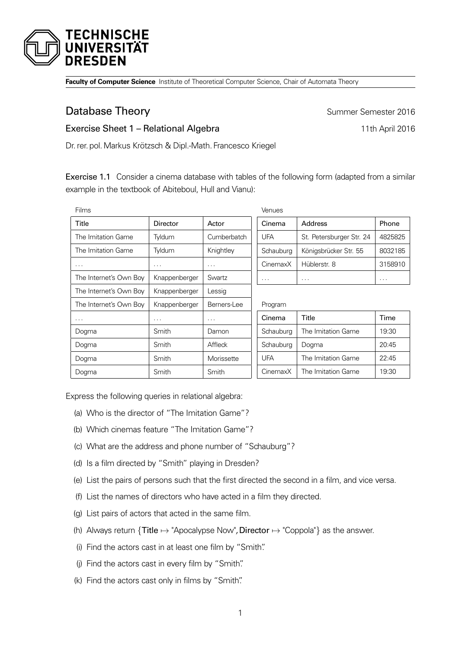

**Faculty of Computer Science** Institute of Theoretical Computer Science, Chair of Automata Theory

## **Database Theory Summer Semester 2016**

## Exercise Sheet 1 – Relational Algebra 11th April 2016

Dr. rer. pol.Markus Krötzsch & Dipl.-Math. Francesco Kriegel

Exercise 1.1 Consider a cinema database with tables of the following form (adapted from a similar example in the textbook of Abiteboul, Hull and Vianu):

| Films                  |                      |             | Venues     |                          |          |
|------------------------|----------------------|-------------|------------|--------------------------|----------|
| Title                  | Director             | Actor       | Cinema     | Address                  | Phone    |
| The Imitation Game     | Tyldum               | Cumberbatch | <b>UFA</b> | St. Petersburger Str. 24 | 4825825  |
| The Imitation Game     | Tyldum               | Knightley   | Schauburg  | Königsbrücker Str. 55    | 8032185  |
| $\cdots$               | $\sim$ $\sim$ $\sim$ | .           | CinemaxX   | Hüblerstr. 8             | 3158910  |
| The Internet's Own Boy | Knappenberger        | Swartz      | $\cdots$   | $\cdots$                 | $\cdots$ |
| The Internet's Own Boy | Knappenberger        | Lessig      |            |                          |          |
| The Internet's Own Boy | Knappenberger        | Berners-Lee | Program    |                          |          |
| $\cdots$               | $\cdots$             | .           | Cinema     | Title                    | Time     |
| Dogma                  | Smith                | Damon       | Schauburg  | The Imitation Game       | 19:30    |
| Dogma                  | Smith                | Affleck     | Schauburg  | Dogma                    | 20:45    |
| Dogma                  | Smith                | Morissette  | <b>UFA</b> | The Imitation Game       | 22:45    |
| Dogma                  | Smith                | Smith       | CinemaxX   | The Imitation Game       | 19:30    |

Express the following queries in relational algebra:

- (a) Who is the director of "The Imitation Game"?
- (b) Which cinemas feature "The Imitation Game"?
- (c) What are the address and phone number of "Schauburg"?
- (d) Is a film directed by "Smith" playing in Dresden?
- (e) List the pairs of persons such that the first directed the second in a film, and vice versa.
- (f) List the names of directors who have acted in a film they directed.
- (g) List pairs of actors that acted in the same film.
- (h) Always return  $\{Title \mapsto \text{``Apocalypes Now''},\text{Director} \mapsto \text{``Coppola''}\}\$  as the answer.
- (i) Find the actors cast in at least one film by "Smith".
- (j) Find the actors cast in every film by "Smith".
- (k) Find the actors cast only in films by "Smith".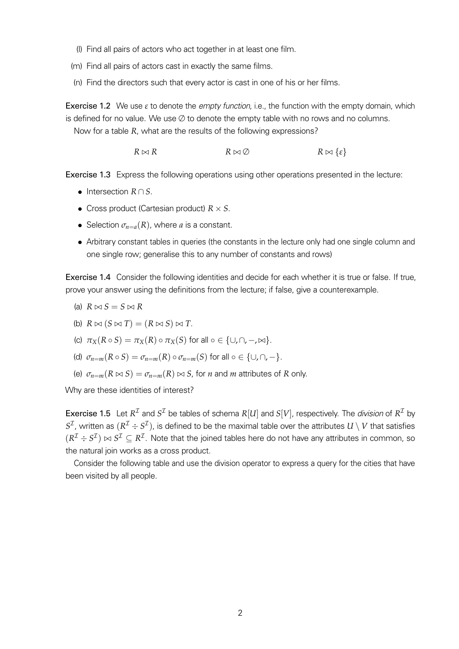- (l) Find all pairs of actors who act together in at least one film.
- (m) Find all pairs of actors cast in exactly the same films.
- (n) Find the directors such that every actor is cast in one of his or her films.

**Exercise 1.2** We use  $\varepsilon$  to denote the *empty function*, i.e., the function with the empty domain, which is defined for no value. We use  $\emptyset$  to denote the empty table with no rows and no columns. Now for a table *R*, what are the results of the following expressions?

 $R \bowtie R$   $R \bowtie \emptyset$   $R \bowtie \{\varepsilon\}$ 

Exercise 1.3 Express the following operations using other operations presented in the lecture:

- *•* Intersection *R* ∩ *S*.
- *•* Cross product (Cartesian product) *R* × *S*.
- Selection  $\sigma_{n=a}(R)$ , where *a* is a constant.
- Arbitrary constant tables in queries (the constants in the lecture only had one single column and one single row; generalise this to any number of constants and rows)

Exercise 1.4 Consider the following identities and decide for each whether it is true or false. If true, prove your answer using the definitions from the lecture; if false, give a counterexample.

- (a)  $R \bowtie S = S \bowtie R$
- (b)  $R \bowtie (S \bowtie T) = (R \bowtie S) \bowtie T$ .
- (c)  $\pi_X(R \circ S) = \pi_X(R) \circ \pi_X(S)$  for all  $\circ \in \{\cup, \cap, -\infty\}.$
- (d)  $\sigma_{n=m}(R \circ S) = \sigma_{n=m}(R) \circ \sigma_{n=m}(S)$  for all  $\circ \in \{\cup, \cap, -\}.$
- (e)  $\sigma_{n=m}(R \bowtie S) = \sigma_{n=m}(R) \bowtie S$ , for *n* and *m* attributes of *R* only.

Why are these identities of interest?

**Exercise 1.5** Let  $R^{\mathcal{I}}$  and  $S^{\mathcal{I}}$  be tables of schema  $R[U]$  and  $S[V]$ , respectively. The *division* of  $R^{\mathcal{I}}$  by  $S^{\cal I}$ , written as  $(R^{\cal I} \div S^{\cal I})$ , is defined to be the maximal table over the attributes  $U \setminus V$  that satisfies  $(R^{\mathcal{I}}\div S^{\mathcal{I}})\bowtie S^{\mathcal{I}}\subseteq R^{\mathcal{I}}.$  Note that the joined tables here do not have any attributes in common, so the natural join works as a cross product.

Consider the following table and use the division operator to express a query for the cities that have been visited by all people.